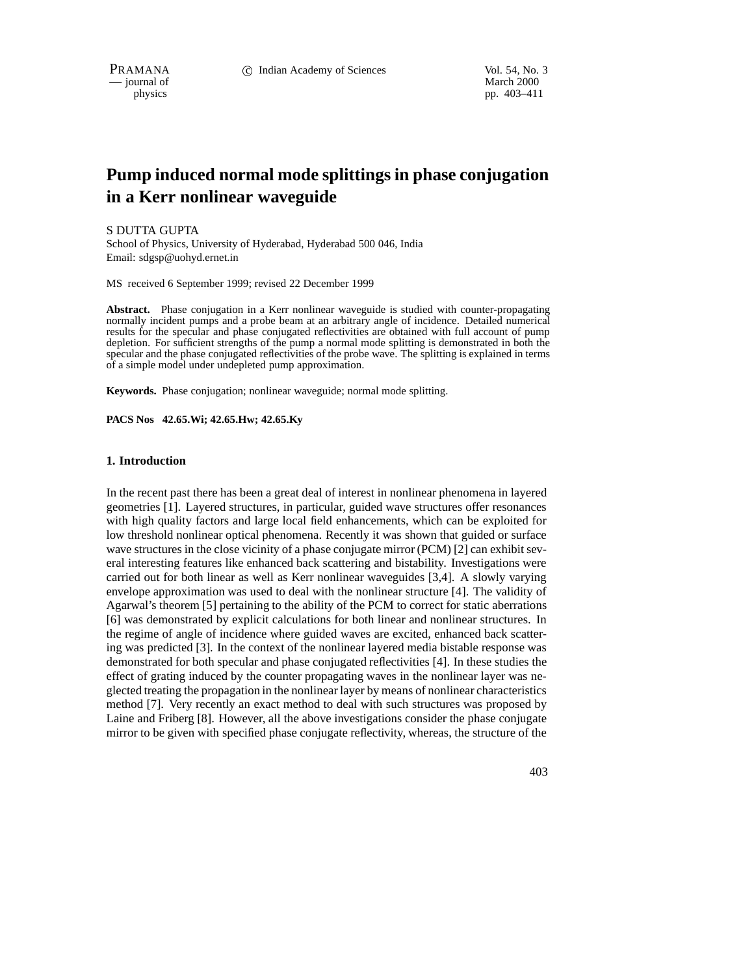$-$  journal of

physics pp. 403–411

# **Pump induced normal mode splittings in phase conjugation in a Kerr nonlinear waveguide**

## S DUTTA GUPTA

School of Physics, University of Hyderabad, Hyderabad 500 046, India Email: sdgsp@uohyd.ernet.in

MS received 6 September 1999; revised 22 December 1999

**Abstract.** Phase conjugation in a Kerr nonlinear waveguide is studied with counter-propagating normally incident pumps and a probe beam at an arbitrary angle of incidence. Detailed numerical results for the specular and phase conjugated reflectivities are obtained with full account of pump depletion. For sufficient strengths of the pump a normal mode splitting is demonstrated in both the specular and the phase conjugated reflectivities of the probe wave. The splitting is explained in terms of a simple model under undepleted pump approximation.

**Keywords.** Phase conjugation; nonlinear waveguide; normal mode splitting.

**PACS Nos 42.65.Wi; 42.65.Hw; 42.65.Ky**

## **1. Introduction**

In the recent past there has been a great deal of interest in nonlinear phenomena in layered geometries [1]. Layered structures, in particular, guided wave structures offer resonances with high quality factors and large local field enhancements, which can be exploited for low threshold nonlinear optical phenomena. Recently it was shown that guided or surface wave structures in the close vicinity of a phase conjugate mirror (PCM) [2] can exhibit several interesting features like enhanced back scattering and bistability. Investigations were carried out for both linear as well as Kerr nonlinear waveguides [3,4]. A slowly varying envelope approximation was used to deal with the nonlinear structure [4]. The validity of Agarwal's theorem [5] pertaining to the ability of the PCM to correct for static aberrations [6] was demonstrated by explicit calculations for both linear and nonlinear structures. In the regime of angle of incidence where guided waves are excited, enhanced back scattering was predicted [3]. In the context of the nonlinear layered media bistable response was demonstrated for both specular and phase conjugated reflectivities [4]. In these studies the effect of grating induced by the counter propagating waves in the nonlinear layer was neglected treating the propagation in the nonlinear layer by means of nonlinear characteristics method [7]. Very recently an exact method to deal with such structures was proposed by Laine and Friberg [8]. However, all the above investigations consider the phase conjugate mirror to be given with specified phase conjugate reflectivity, whereas, the structure of the

403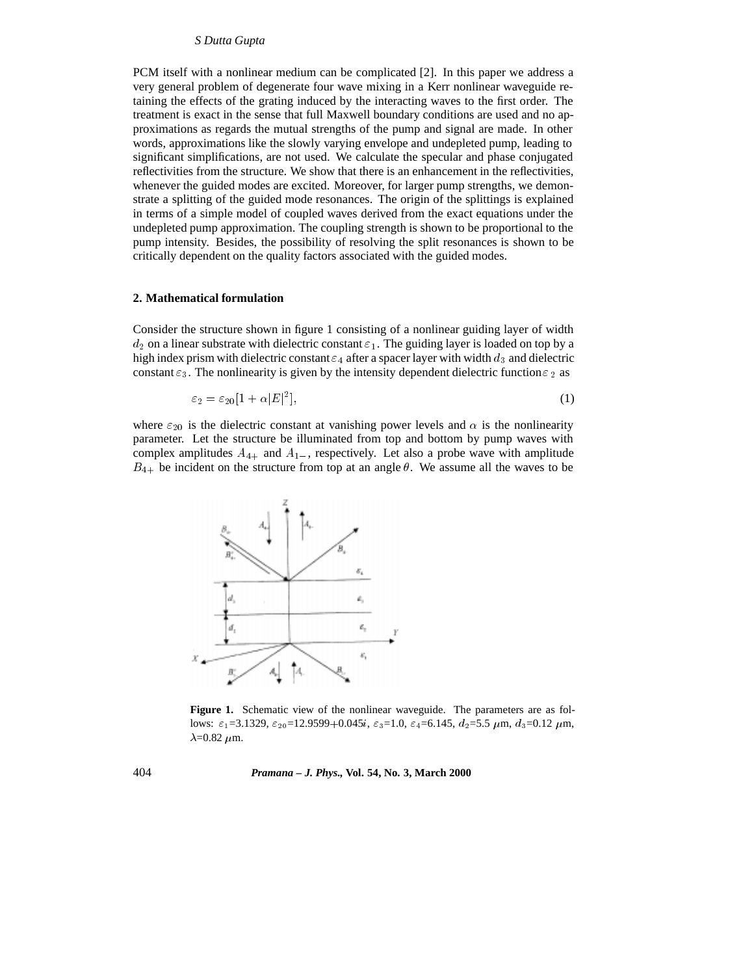## *S Dutta Gupta*

PCM itself with a nonlinear medium can be complicated [2]. In this paper we address a very general problem of degenerate four wave mixing in a Kerr nonlinear waveguide retaining the effects of the grating induced by the interacting waves to the first order. The treatment is exact in the sense that full Maxwell boundary conditions are used and no approximations as regards the mutual strengths of the pump and signal are made. In other words, approximations like the slowly varying envelope and undepleted pump, leading to significant simplifications, are not used. We calculate the specular and phase conjugated reflectivities from the structure. We show that there is an enhancement in the reflectivities, whenever the guided modes are excited. Moreover, for larger pump strengths, we demonstrate a splitting of the guided mode resonances. The origin of the splittings is explained in terms of a simple model of coupled waves derived from the exact equations under the undepleted pump approximation. The coupling strength is shown to be proportional to the pump intensity. Besides, the possibility of resolving the split resonances is shown to be critically dependent on the quality factors associated with the guided modes.

## **2. Mathematical formulation**

Consider the structure shown in figure 1 consisting of a nonlinear guiding layer of width  $d_2$  on a linear substrate with dielectric constant  $\varepsilon_1$ . The guiding layer is loaded on top by a high index prism with dielectric constant  $\varepsilon_4$  after a spacer layer with width  $d_3$  and dielectric constant  $\varepsilon_3$ . The nonlinearity is given by the intensity dependent dielectric function  $\varepsilon_2$  as

$$
\varepsilon_2 = \varepsilon_{20} [1 + \alpha |E|^2],\tag{1}
$$

where  $\varepsilon_{20}$  is the dielectric constant at vanishing power levels and  $\alpha$  is the nonlinearity parameter. Let the structure be illuminated from top and bottom by pump waves with complex amplitudes  $A_{4+}$  and  $A_{1-}$ , respectively. Let also a probe wave with amplitude  $B_{4+}$  be incident on the structure from top at an angle  $\theta$ . We assume all the waves to be



**Figure 1.** Schematic view of the nonlinear waveguide. The parameters are as follows:  $\varepsilon_1$ =3.1329,  $\varepsilon_{20}$ =12.9599+0.045i,  $\varepsilon_3$ =1.0,  $\varepsilon_4$ =6.145,  $d_2$ =5.5  $\mu$ m,  $d_3$ =0.12  $\mu$ m,  $\lambda$ =0.82  $\mu$ m.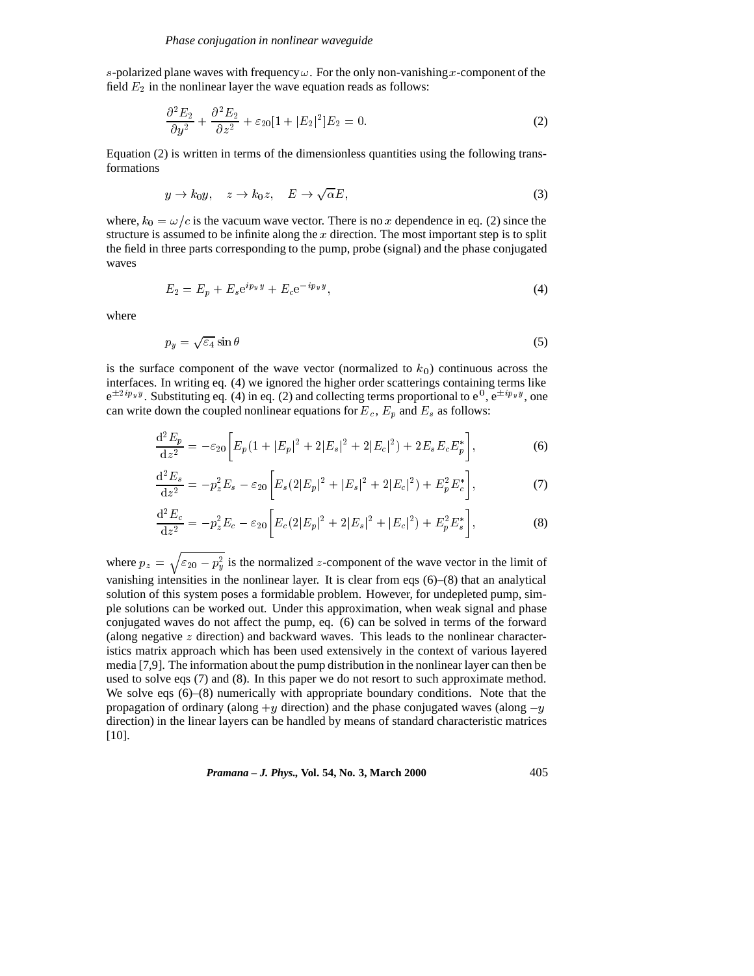s-polarized plane waves with frequency  $\omega$ . For the only non-vanishing x-component of the field  $E_2$  in the nonlinear layer the wave equation reads as follows:

$$
\frac{\partial^2 E_2}{\partial y^2} + \frac{\partial^2 E_2}{\partial z^2} + \varepsilon_{20} [1 + |E_2|^2] E_2 = 0.
$$
 (2)

Equation (2) is written in terms of the dimensionless quantities using the following transformations

$$
y \to k_0 y, \quad z \to k_0 z, \quad E \to \sqrt{\alpha} E,\tag{3}
$$

where,  $k_0 = \omega/c$  is the vacuum wave vector. There is no x dependence in eq. (2) since the structure is assumed to be infinite along the  $x$  direction. The most important step is to split the field in three parts corresponding to the pump, probe (signal) and the phase conjugated waves

$$
E_2 = E_p + E_s e^{i p_y y} + E_c e^{-i p_y y},\tag{4}
$$

where

$$
p_y = \sqrt{\varepsilon_4} \sin \theta \tag{5}
$$

is the surface component of the wave vector (normalized to  $k_0$ ) continuous across the interfaces. In writing eq. (4) we ignored the higher order scatterings containing terms like  $e^{\pm 2i p_y y}$ . Substituting eq. (4) in eq. (2) and collecting terms proportional to  $e^0$ ,  $e^{\pm i p_y y}$ , one can write down the coupled nonlinear equations for  $E_c$ ,  $E_p$  and  $E_s$  as follows:

$$
\frac{\mathrm{d}^2 E_p}{\mathrm{d}z^2} = -\varepsilon_{20} \left[ E_p (1 + |E_p|^2 + 2|E_s|^2 + 2|E_c|^2) + 2E_s E_c E_p^* \right],\tag{6}
$$

$$
\frac{\mathrm{d}^{2}E_{s}}{\mathrm{d}z^{2}} = -p_{z}^{2}E_{s} - \varepsilon_{20} \left[ E_{s} (2|E_{p}|^{2} + |E_{s}|^{2} + 2|E_{c}|^{2}) + E_{p}^{2} E_{c}^{*} \right],\tag{7}
$$

$$
\frac{\mathrm{d}^2 E_c}{\mathrm{d} z^2} = -p_z^2 E_c - \varepsilon_{20} \left[ E_c (2|E_p|^2 + 2|E_s|^2 + |E_c|^2) + E_p^2 E_s^* \right],\tag{8}
$$

where  $p_z = \sqrt{\epsilon_{20} - p_u^2}$  is the normalized z-component of the wave vector in the limit of vanishing intensities in the nonlinear layer. It is clear from eqs (6)–(8) that an analytical solution of this system poses a formidable problem. However, for undepleted pump, simple solutions can be worked out. Under this approximation, when weak signal and phase conjugated waves do not affect the pump, eq. (6) can be solved in terms of the forward (along negative  $z$  direction) and backward waves. This leads to the nonlinear characteristics matrix approach which has been used extensively in the context of various layered media [7,9]. The information about the pump distribution in the nonlinear layer can then be used to solve eqs (7) and (8). In this paper we do not resort to such approximate method. We solve eqs (6)–(8) numerically with appropriate boundary conditions. Note that the propagation of ordinary (along  $+y$  direction) and the phase conjugated waves (along  $-y$ direction) in the linear layers can be handled by means of standard characteristic matrices [10].

*Pramana – J. Phys.,* **Vol. 54, No. 3, March 2000** 405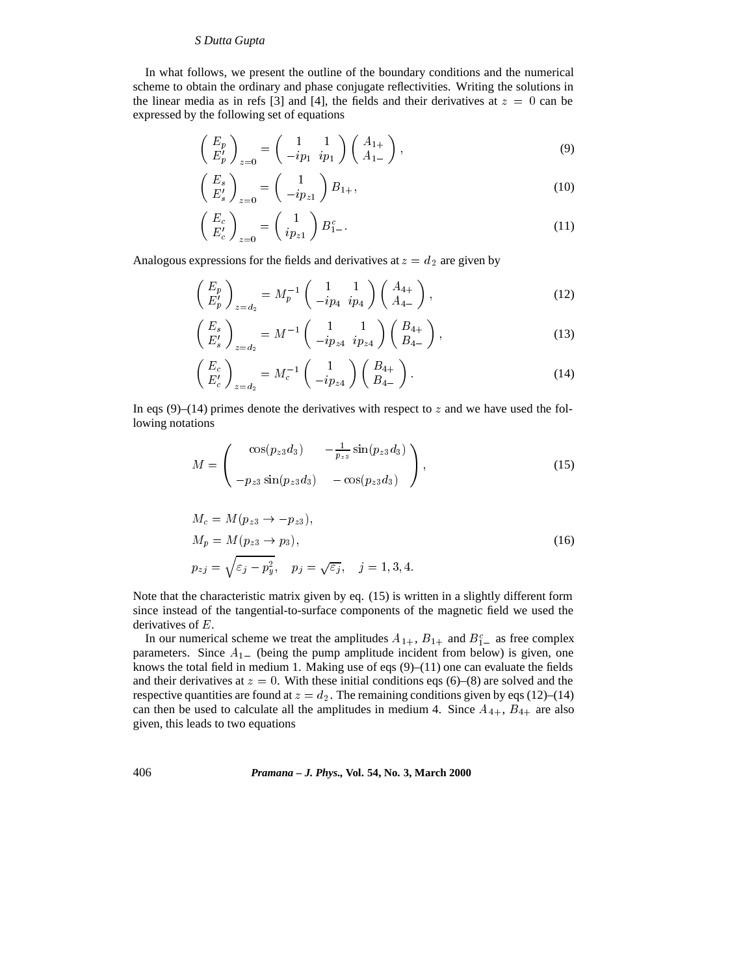# *S Dutta Gupta*

In what follows, we present the outline of the boundary conditions and the numerical scheme to obtain the ordinary and phase conjugate reflectivities. Writing the solutions in the linear media as in refs [3] and [4], the fields and their derivatives at  $z = 0$  can be expressed by the following set of equations

$$
\begin{pmatrix} E_p \\ E'_p \end{pmatrix}_{z=0} = \begin{pmatrix} 1 & 1 \\ -ip_1 & ip_1 \end{pmatrix} \begin{pmatrix} A_{1+} \\ A_{1-} \end{pmatrix},
$$
\n(9)

$$
\begin{pmatrix} E_s \\ E'_s \end{pmatrix}_{z=0} = \begin{pmatrix} 1 \\ -ip_{z1} \end{pmatrix} B_{1+},\tag{10}
$$

$$
\left(\begin{array}{c} E_c \\ E_c' \end{array}\right)_{z=0} = \left(\begin{array}{c} 1 \\ ip_{z1} \end{array}\right) B_{1-}^c. \tag{11}
$$

Analogous expressions for the fields and derivatives at  $z = d_2$  are given by

$$
\begin{pmatrix} E_p \\ E'_p \end{pmatrix}_{z=d_2} = M_p^{-1} \begin{pmatrix} 1 & 1 \\ -ip_4 & ip_4 \end{pmatrix} \begin{pmatrix} A_{4+} \\ A_{4-} \end{pmatrix},
$$
\n(12)

$$
\begin{pmatrix} E_s \\ E'_s \end{pmatrix}_{z=d_2} = M^{-1} \begin{pmatrix} 1 & 1 \\ -ip_{z4} & ip_{z4} \end{pmatrix} \begin{pmatrix} B_{4+} \\ B_{4-} \end{pmatrix},
$$
\n(13)

$$
\begin{pmatrix} E_c \\ E_c' \end{pmatrix}_{z=d_2} = M_c^{-1} \begin{pmatrix} 1 \\ -ip_{z4} \end{pmatrix} \begin{pmatrix} B_{4+} \\ B_{4-} \end{pmatrix} . \tag{14}
$$

In eqs  $(9)$ – $(14)$  primes denote the derivatives with respect to z and we have used the following notations

$$
M = \begin{pmatrix} \cos(p_{z3}d_3) & -\frac{1}{p_{z3}}\sin(p_{z3}d_3) \\ -p_{z3}\sin(p_{z3}d_3) & -\cos(p_{z3}d_3) \end{pmatrix},
$$
(15)

$$
M_c = M(p_{z3} \rightarrow -p_{z3}),
$$
  
\n
$$
M_p = M(p_{z3} \rightarrow p_3),
$$
  
\n
$$
p_{zj} = \sqrt{\varepsilon_j - p_y^2}, \quad p_j = \sqrt{\varepsilon_j}, \quad j = 1, 3, 4.
$$
\n(16)

Note that the characteristic matrix given by eq. (15) is written in a slightly different form since instead of the tangential-to-surface components of the magnetic field we used the derivatives of E.

In our numerical scheme we treat the amplitudes  $A_{1+}$ ,  $B_{1+}$  and  $B_{1-}^c$  as free complex parameters. Since  $A_{1-}$  (being the pump amplitude incident from below) is given, one knows the total field in medium 1. Making use of eqs  $(9)–(11)$  one can evaluate the fields and their derivatives at  $z = 0$ . With these initial conditions eqs (6)–(8) are solved and the respective quantities are found at  $z = d_2$ . The remaining conditions given by eqs (12)–(14) can then be used to calculate all the amplitudes in medium 4. Since  $A_{4+}$ ,  $B_{4+}$  are also given, this leads to two equations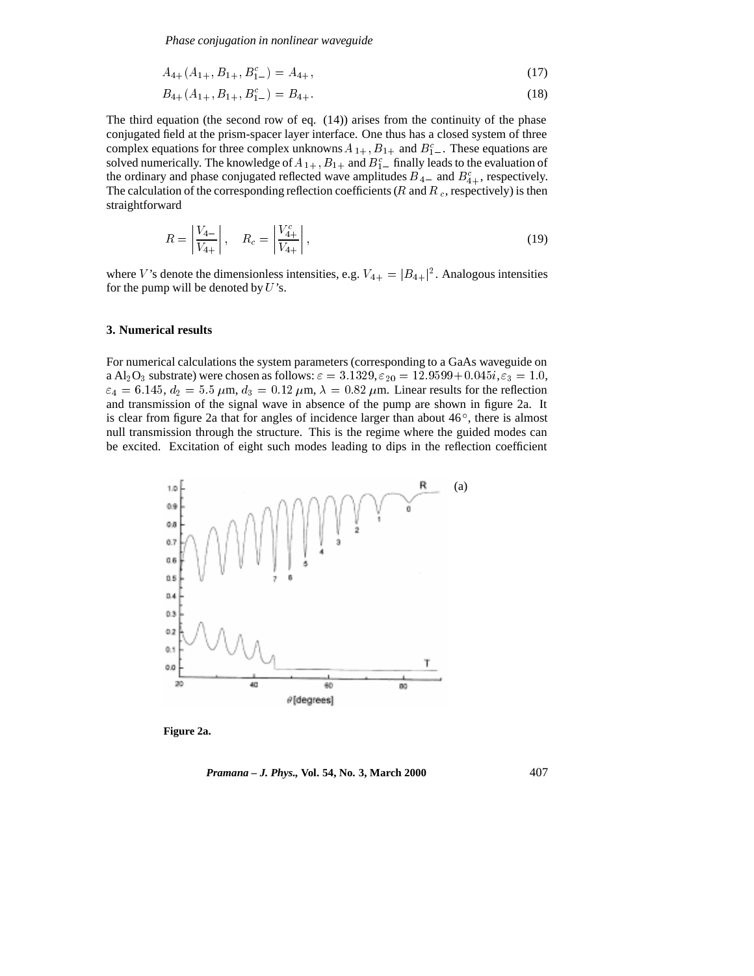*Phase conjugation in nonlinear waveguide*

$$
A_{4+}(A_{1+}, B_{1+}, B_{1-}^c) = A_{4+},
$$
\n<sup>(17)</sup>

$$
B_{4+}(A_{1+}, B_{1+}, B_{1-}^c) = B_{4+}.
$$
\n<sup>(18)</sup>

The third equation (the second row of eq.  $(14)$ ) arises from the continuity of the phase conjugated field at the prism-spacer layer interface. One thus has a closed system of three complex equations for three complex unknowns  $A_{1+}$ ,  $B_{1+}$  and  $B_{1-}^c$ . These equations are solved numerically. The knowledge of  $A_{1+}$ ,  $B_{1+}$  and  $B_{1-}^c$  finally leads to the evaluation of the ordinary and phase conjugated reflected wave amplitudes  $B_{4-}$  and  $B_{4+}^c$ , respectively. The calculation of the corresponding reflection coefficients ( $R$  and  $R_c$ , respectively) is then straightforward

$$
R = \left| \frac{V_{4-}}{V_{4+}} \right|, \quad R_c = \left| \frac{V_{4+}^c}{V_{4+}} \right|,
$$
\n(19)

where V's denote the dimensionless intensities, e.g.  $V_{4+} = |B_{4+}|^2$ . Analogous intensities for the pump will be denoted by  $U$ 's.

#### **3. Numerical results**

For numerical calculations the system parameters (corresponding to a GaAs waveguide on a Al<sub>2</sub>O<sub>3</sub> substrate) were chosen as follows:  $\varepsilon = 3.1329$ ,  $\varepsilon_{20} = 12.9599 + 0.045i$ ,  $\varepsilon_3 = 1.0$ ,  $\varepsilon_4 = 6.145$ ,  $d_2 = 5.5$   $\mu$ m,  $d_3 = 0.12$   $\mu$ m,  $\lambda = 0.82$   $\mu$ m. Linear results for the reflection and transmission of the signal wave in absence of the pump are shown in figure 2a. It is clear from figure 2a that for angles of incidence larger than about  $46^{\circ}$ , there is almost null transmission through the structure. This is the regime where the guided modes can be excited. Excitation of eight such modes leading to dips in the reflection coefficient



**Figure 2a.**

*Pramana – J. Phys.,* **Vol. 54, No. 3, March 2000** 407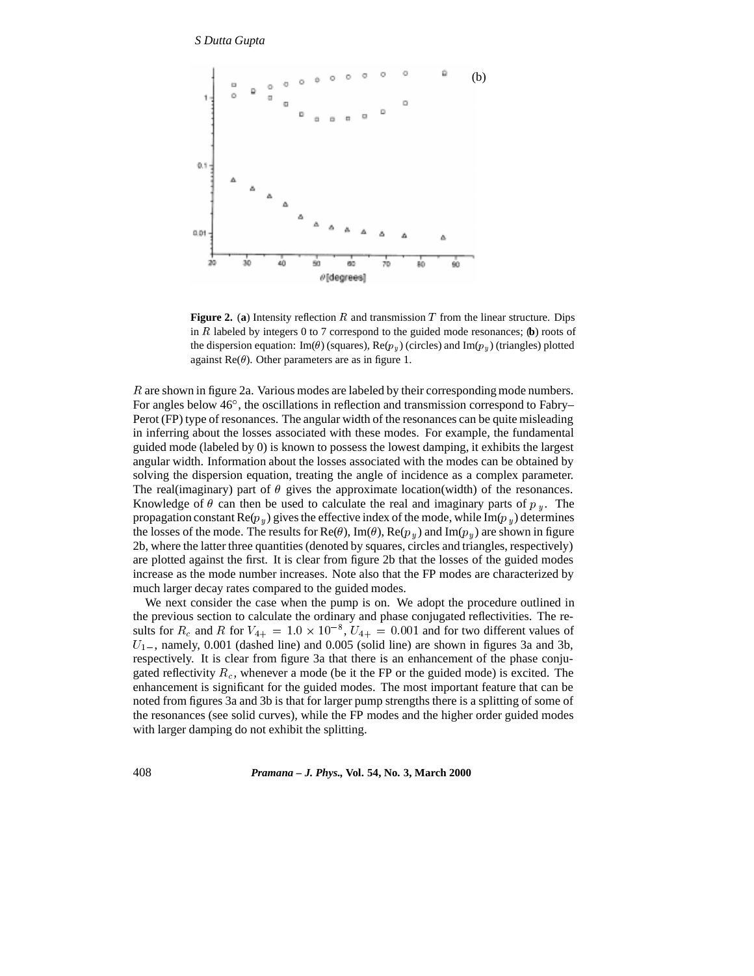# *S Dutta Gupta*



**Figure 2.** (a) Intensity reflection R and transmission T from the linear structure. Dips in <sup>R</sup> labeled by integers 0 to 7 correspond to the guided mode resonances; (**b**) roots of the dispersion equation: Im( $\theta$ ) (squares), Re( $p_y$ ) (circles) and Im( $p_y$ ) (triangles) plotted against  $\text{Re}(\theta)$ . Other parameters are as in figure 1.

R are shown in figure 2a. Various modes are labeled by their corresponding mode numbers. For angles below 46°, the oscillations in reflection and transmission correspond to Fabry– Perot (FP) type of resonances. The angular width of the resonances can be quite misleading in inferring about the losses associated with these modes. For example, the fundamental guided mode (labeled by 0) is known to possess the lowest damping, it exhibits the largest angular width. Information about the losses associated with the modes can be obtained by solving the dispersion equation, treating the angle of incidence as a complex parameter. The real(imaginary) part of  $\theta$  gives the approximate location(width) of the resonances. Knowledge of  $\theta$  can then be used to calculate the real and imaginary parts of  $p_y$ . The propagation constant  $\text{Re}(p_y)$  gives the effective index of the mode, while Im( $p_y$ ) determines the losses of the mode. The results for  $\text{Re}(\theta)$ , Im( $\theta$ ),  $\text{Re}(p_u)$  and Im( $p_u$ ) are shown in figure 2b, where the latter three quantities (denoted by squares, circles and triangles, respectively) are plotted against the first. It is clear from figure 2b that the losses of the guided modes increase as the mode number increases. Note also that the FP modes are characterized by much larger decay rates compared to the guided modes.

We next consider the case when the pump is on. We adopt the procedure outlined in the previous section to calculate the ordinary and phase conjugated reflectivities. The results for  $R_c$  and R for  $V_{4+} = 1.0 \times 10^{-8}$ ,  $U_{4+} = 0.001$  and for two different values of  $U_{1-}$ , namely, 0.001 (dashed line) and 0.005 (solid line) are shown in figures 3a and 3b, respectively. It is clear from figure 3a that there is an enhancement of the phase conjugated reflectivity  $R_c$ , whenever a mode (be it the FP or the guided mode) is excited. The enhancement is significant for the guided modes. The most important feature that can be noted from figures 3a and 3b is that for larger pump strengths there is a splitting of some of the resonances (see solid curves), while the FP modes and the higher order guided modes with larger damping do not exhibit the splitting.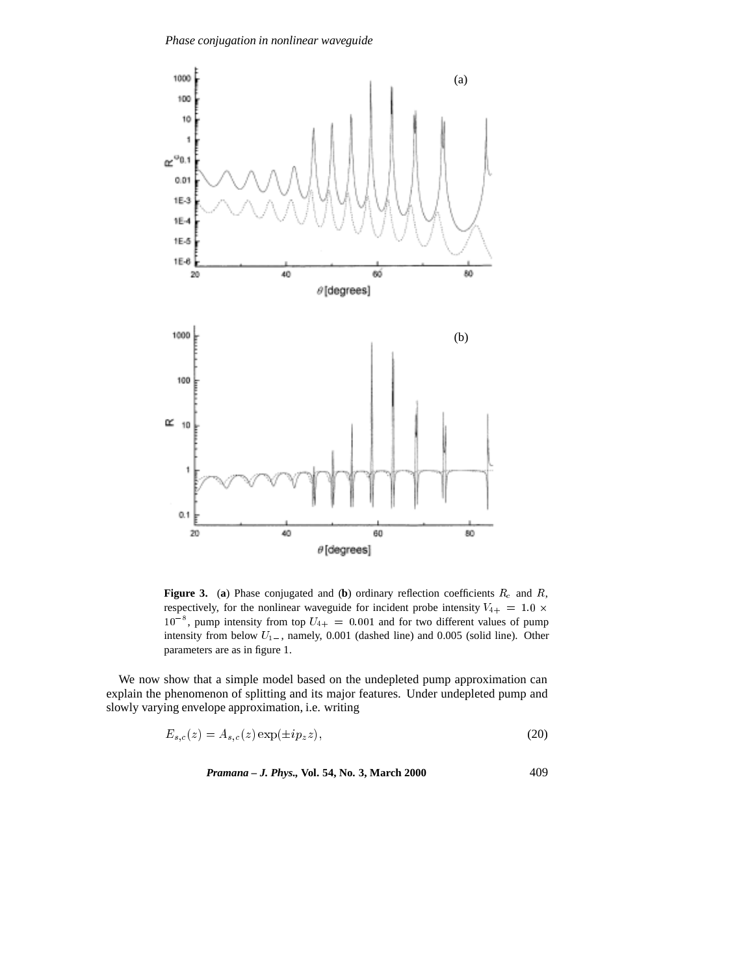*Phase conjugation in nonlinear waveguide*



**Figure 3.** (a) Phase conjugated and (b) ordinary reflection coefficients  $R_c$  and  $R$ , respectively, for the nonlinear waveguide for incident probe intensity  $V_{4+} = 1.0 \times$  $10^{-8}$ , pump intensity from top  $U_{4+} = 0.001$  and for two different values of pump intensity from below  $U_{1-}$ , namely, 0.001 (dashed line) and 0.005 (solid line). Other parameters are as in figure 1.

We now show that a simple model based on the undepleted pump approximation can explain the phenomenon of splitting and its major features. Under undepleted pump and slowly varying envelope approximation, i.e. writing

$$
E_{s,c}(z) = A_{s,c}(z) \exp(\pm i p_z z),\tag{20}
$$

*Pramana – J. Phys.,* **Vol. 54, No. 3, March 2000** 409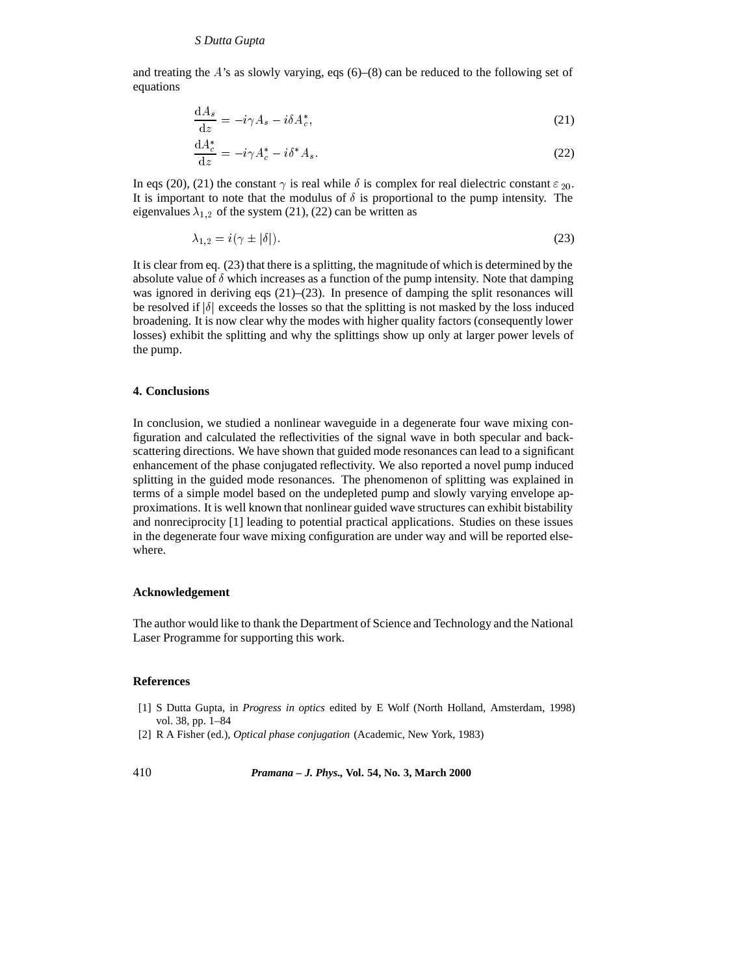and treating the  $A$ 's as slowly varying, eqs  $(6)$ – $(8)$  can be reduced to the following set of equations

$$
\frac{\mathrm{d}A_s}{\mathrm{d}z} = -i\gamma A_s - i\delta A_c^*,\tag{21}
$$

$$
\frac{\mathrm{d}A_c^*}{\mathrm{d}z} = -i\gamma A_c^* - i\delta^* A_s. \tag{22}
$$

In eqs (20), (21) the constant  $\gamma$  is real while  $\delta$  is complex for real dielectric constant  $\varepsilon_{20}$ . It is important to note that the modulus of  $\delta$  is proportional to the pump intensity. The eigenvalues  $\lambda_{1,2}$  of the system (21), (22) can be written as

$$
\lambda_{1,2} = i(\gamma \pm |\delta|). \tag{23}
$$

It is clear from eq. (23) that there is a splitting, the magnitude of which is determined by the absolute value of  $\delta$  which increases as a function of the pump intensity. Note that damping was ignored in deriving eqs  $(21)$ – $(23)$ . In presence of damping the split resonances will be resolved if  $|\delta|$  exceeds the losses so that the splitting is not masked by the loss induced broadening. It is now clear why the modes with higher quality factors (consequently lower losses) exhibit the splitting and why the splittings show up only at larger power levels of the pump.

## **4. Conclusions**

In conclusion, we studied a nonlinear waveguide in a degenerate four wave mixing configuration and calculated the reflectivities of the signal wave in both specular and backscattering directions. We have shown that guided mode resonances can lead to a significant enhancement of the phase conjugated reflectivity. We also reported a novel pump induced splitting in the guided mode resonances. The phenomenon of splitting was explained in terms of a simple model based on the undepleted pump and slowly varying envelope approximations. It is well known that nonlinear guided wave structures can exhibit bistability and nonreciprocity [1] leading to potential practical applications. Studies on these issues in the degenerate four wave mixing configuration are under way and will be reported elsewhere.

## **Acknowledgement**

The author would like to thank the Department of Science and Technology and the National Laser Programme for supporting this work.

#### **References**

- [1] S Dutta Gupta, in *Progress in optics* edited by E Wolf (North Holland, Amsterdam, 1998) vol. 38, pp. 1–84
- [2] R A Fisher (ed.), *Optical phase conjugation* (Academic, New York, 1983)